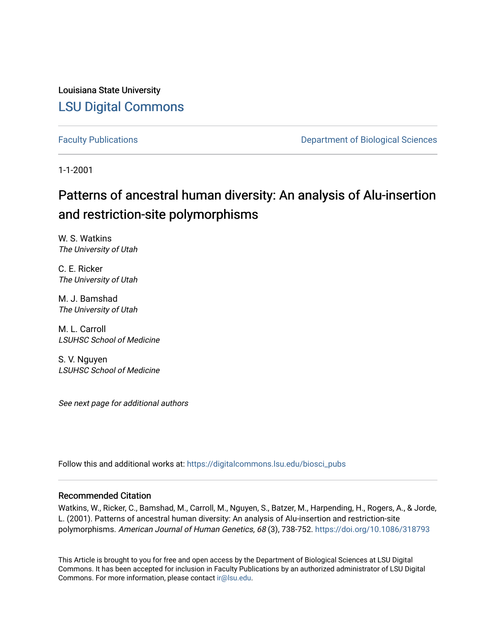Louisiana State University [LSU Digital Commons](https://digitalcommons.lsu.edu/)

[Faculty Publications](https://digitalcommons.lsu.edu/biosci_pubs) **Exercise 2 and Table 2 and Table 2 and Table 2 and Table 2 and Table 2 and Table 2 and Table 2 and Table 2 and Table 2 and Table 2 and Table 2 and Table 2 and Table 2 and Table 2 and Table 2 and Table** 

1-1-2001

# Patterns of ancestral human diversity: An analysis of Alu-insertion and restriction-site polymorphisms

W. S. Watkins The University of Utah

C. E. Ricker The University of Utah

M. J. Bamshad The University of Utah

M. L. Carroll LSUHSC School of Medicine

S. V. Nguyen LSUHSC School of Medicine

See next page for additional authors

Follow this and additional works at: [https://digitalcommons.lsu.edu/biosci\\_pubs](https://digitalcommons.lsu.edu/biosci_pubs?utm_source=digitalcommons.lsu.edu%2Fbiosci_pubs%2F267&utm_medium=PDF&utm_campaign=PDFCoverPages)

## Recommended Citation

Watkins, W., Ricker, C., Bamshad, M., Carroll, M., Nguyen, S., Batzer, M., Harpending, H., Rogers, A., & Jorde, L. (2001). Patterns of ancestral human diversity: An analysis of Alu-insertion and restriction-site polymorphisms. American Journal of Human Genetics, 68 (3), 738-752.<https://doi.org/10.1086/318793>

This Article is brought to you for free and open access by the Department of Biological Sciences at LSU Digital Commons. It has been accepted for inclusion in Faculty Publications by an authorized administrator of LSU Digital Commons. For more information, please contact [ir@lsu.edu](mailto:ir@lsu.edu).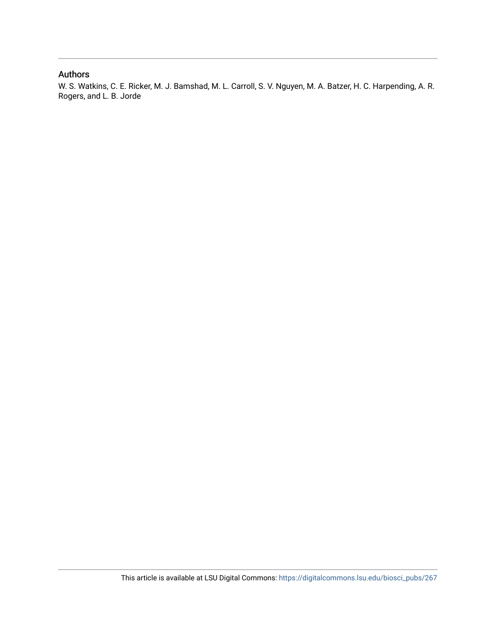## Authors

W. S. Watkins, C. E. Ricker, M. J. Bamshad, M. L. Carroll, S. V. Nguyen, M. A. Batzer, H. C. Harpending, A. R. Rogers, and L. B. Jorde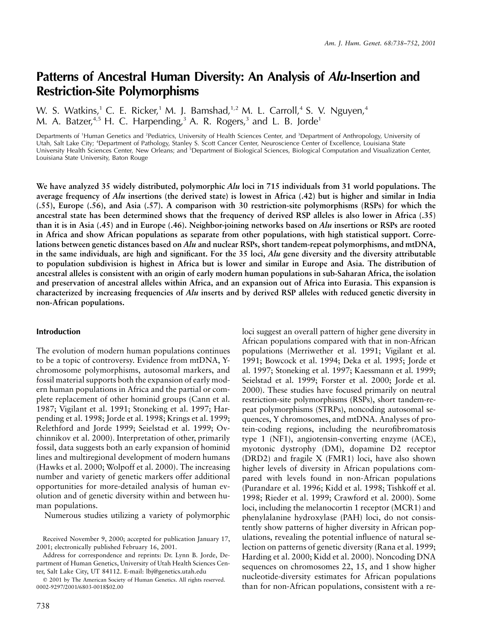## **Patterns of Ancestral Human Diversity: An Analysis of** *Alu***-Insertion and Restriction-Site Polymorphisms**

W. S. Watkins,<sup>1</sup> C. E. Ricker,<sup>1</sup> M. J. Bamshad,<sup>1,2</sup> M. L. Carroll,<sup>4</sup> S. V. Nguyen,<sup>4</sup> M. A. Batzer,  $4,5$  H. C. Harpending,  $3$  A. R. Rogers,  $3$  and L. B. Jorde<sup>1</sup>

Departments of <sup>1</sup>Human Genetics and <sup>2</sup>Pediatrics, University of Health Sciences Center, and <sup>3</sup>Department of Anthropology, University of Utah, Salt Lake City; <sup>4</sup>Department of Pathology, Stanley S. Scott Cancer Center, Neuroscience Center of Excellence, Louisiana State University Health Sciences Center, New Orleans; and <sup>5</sup>Department of Biological Sciences, Biological Computation and Visualization Center, Louisiana State University, Baton Rouge

**We have analyzed 35 widely distributed, polymorphic** *Alu* **loci in 715 individuals from 31 world populations. The average frequency of** *Alu* **insertions (the derived state) is lowest in Africa (.42) but is higher and similar in India (.55), Europe (.56), and Asia (.57). A comparison with 30 restriction-site polymorphisms (RSPs) for which the ancestral state has been determined shows that the frequency of derived RSP alleles is also lower in Africa (.35) than it is in Asia (.45) and in Europe (.46). Neighbor-joining networks based on** *Alu* **insertions or RSPs are rooted in Africa and show African populations as separate from other populations, with high statistical support. Correlations between genetic distances based on** *Alu* **and nuclear RSPs, short tandem-repeat polymorphisms, and mtDNA, in the same individuals, are high and significant. For the 35 loci,** *Alu* **gene diversity and the diversity attributable to population subdivision is highest in Africa but is lower and similar in Europe and Asia. The distribution of ancestral alleles is consistent with an origin of early modern human populations in sub-Saharan Africa, the isolation and preservation of ancestral alleles within Africa, and an expansion out of Africa into Eurasia. This expansion is characterized by increasing frequencies of** *Alu* **inserts and by derived RSP alleles with reduced genetic diversity in non-African populations.**

#### **Introduction**

The evolution of modern human populations continues to be a topic of controversy. Evidence from mtDNA, Ychromosome polymorphisms, autosomal markers, and fossil material supports both the expansion of early modern human populations in Africa and the partial or complete replacement of other hominid groups (Cann et al. 1987; Vigilant et al. 1991; Stoneking et al. 1997; Harpending et al. 1998; Jorde et al. 1998; Krings et al. 1999; Relethford and Jorde 1999; Seielstad et al. 1999; Ovchinnikov et al. 2000). Interpretation of other, primarily fossil, data suggests both an early expansion of hominid lines and multiregional development of modern humans (Hawks et al. 2000; Wolpoff et al. 2000). The increasing number and variety of genetic markers offer additional opportunities for more-detailed analysis of human evolution and of genetic diversity within and between human populations.

Numerous studies utilizing a variety of polymorphic

Address for correspondence and reprints: Dr. Lynn B. Jorde, Department of Human Genetics, University of Utah Health Sciences Center, Salt Lake City, UT 84112. E-mail: lbj@genetics.utah.edu

 2001 by The American Society of Human Genetics. All rights reserved. 0002-9297/2001/6803-0018\$02.00

loci suggest an overall pattern of higher gene diversity in African populations compared with that in non-African populations (Merriwether et al. 1991; Vigilant et al. 1991; Bowcock et al. 1994; Deka et al. 1995; Jorde et al. 1997; Stoneking et al. 1997; Kaessmann et al. 1999; Seielstad et al. 1999; Forster et al. 2000; Jorde et al. 2000). These studies have focused primarily on neutral restriction-site polymorphisms (RSPs), short tandem-repeat polymorphisms (STRPs), noncoding autosomal sequences, Y chromosomes, and mtDNA. Analyses of protein-coding regions, including the neurofibromatosis type 1 (NF1), angiotensin-converting enzyme (ACE), myotonic dystrophy (DM), dopamine D2 receptor (DRD2) and fragile X (FMR1) loci, have also shown higher levels of diversity in African populations compared with levels found in non-African populations (Purandare et al. 1996; Kidd et al. 1998; Tishkoff et al. 1998; Rieder et al. 1999; Crawford et al. 2000). Some loci, including the melanocortin 1 receptor (MCR1) and phenylalanine hydroxylase (PAH) loci, do not consistently show patterns of higher diversity in African populations, revealing the potential influence of natural selection on patterns of genetic diversity (Rana et al. 1999; Harding et al. 2000; Kidd et al. 2000). Noncoding DNA sequences on chromosomes 22, 15, and 1 show higher nucleotide-diversity estimates for African populations than for non-African populations, consistent with a re-

Received November 9, 2000; accepted for publication January 17, 2001; electronically published February 16, 2001.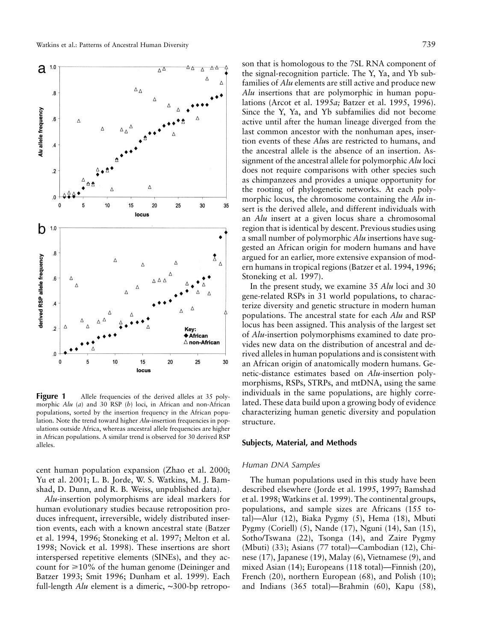

**Figure 1** Allele frequencies of the derived alleles at 35 polymorphic *Alu* (*a*) and 30 RSP (*b*) loci, in African and non-African populations, sorted by the insertion frequency in the African population. Note the trend toward higher *Alu*-insertion frequencies in populations outside Africa, whereas ancestral allele frequencies are higher in African populations. A similar trend is observed for 30 derived RSP alleles.

cent human population expansion (Zhao et al. 2000; Yu et al. 2001; L. B. Jorde, W. S. Watkins, M. J. Bamshad, D. Dunn, and R. B. Weiss, unpublished data).

*Alu*-insertion polymorphisms are ideal markers for human evolutionary studies because retroposition produces infrequent, irreversible, widely distributed insertion events, each with a known ancestral state (Batzer et al. 1994, 1996; Stoneking et al. 1997; Melton et al. 1998; Novick et al. 1998). These insertions are short interspersed repetitive elements (SINEs), and they account for  $\geq 10\%$  of the human genome (Deininger and Batzer 1993; Smit 1996; Dunham et al. 1999). Each full-length *Alu* element is a dimeric, ∼300-bp retropo-

son that is homologous to the 7SL RNA component of the signal-recognition particle. The Y, Ya, and Yb subfamilies of *Alu* elements are still active and produce new *Alu* insertions that are polymorphic in human populations (Arcot et al. 1995*a;* Batzer et al. 1995, 1996). Since the Y, Ya, and Yb subfamilies did not become active until after the human lineage diverged from the last common ancestor with the nonhuman apes, insertion events of these *Alu*s are restricted to humans, and the ancestral allele is the absence of an insertion. Assignment of the ancestral allele for polymorphic *Alu* loci does not require comparisons with other species such as chimpanzees and provides a unique opportunity for the rooting of phylogenetic networks. At each polymorphic locus, the chromosome containing the *Alu* insert is the derived allele, and different individuals with an *Alu* insert at a given locus share a chromosomal region that is identical by descent. Previous studies using a small number of polymorphic *Alu* insertions have suggested an African origin for modern humans and have argued for an earlier, more extensive expansion of modern humans in tropical regions (Batzer et al. 1994, 1996; Stoneking et al. 1997).

In the present study, we examine 35 *Alu* loci and 30 gene-related RSPs in 31 world populations, to characterize diversity and genetic structure in modern human populations. The ancestral state for each *Alu* and RSP locus has been assigned. This analysis of the largest set of *Alu*-insertion polymorphisms examined to date provides new data on the distribution of ancestral and derived alleles in human populations and is consistent with an African origin of anatomically modern humans. Genetic-distance estimates based on *Alu*-insertion polymorphisms, RSPs, STRPs, and mtDNA, using the same individuals in the same populations, are highly correlated. These data build upon a growing body of evidence characterizing human genetic diversity and population structure.

#### **Subjects, Material, and Methods**

#### *Human DNA Samples*

The human populations used in this study have been described elsewhere (Jorde et al. 1995, 1997; Bamshad et al. 1998; Watkins et al. 1999). The continental groups, populations, and sample sizes are Africans (155 total)—Alur (12), Biaka Pygmy (5), Hema (18), Mbuti Pygmy (Coriell) (5), Nande (17), Nguni (14), San (15), Sotho/Tswana (22), Tsonga (14), and Zaire Pygmy (Mbuti) (33); Asians (77 total)—Cambodian (12), Chinese (17), Japanese (19), Malay (6), Vietnamese (9), and mixed Asian (14); Europeans (118 total)—Finnish (20), French (20), northern European (68), and Polish (10); and Indians (365 total)—Brahmin (60), Kapu (58),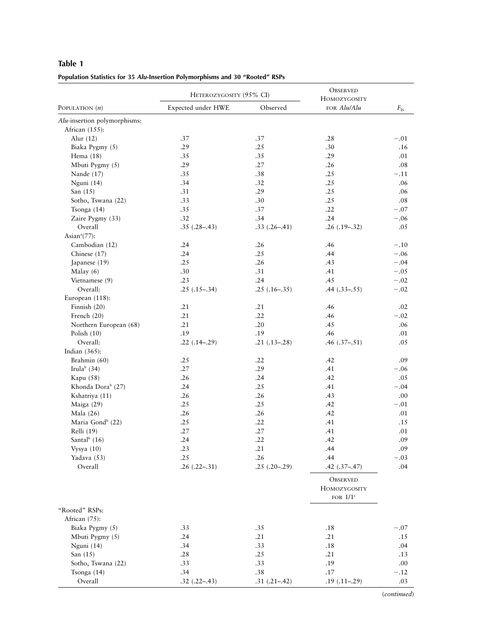|                                 | HETEROZYGOSITY (95% CI) |                | <b>OBSERVED</b><br>HOMOZYGOSITY |          |  |
|---------------------------------|-------------------------|----------------|---------------------------------|----------|--|
| POPULATION $(n)$                | Expected under HWE      | Observed       | FOR Alu/Alu                     | $F_{IS}$ |  |
| Alu-insertion polymorphisms:    |                         |                |                                 |          |  |
| African $(155)$ :               |                         |                |                                 |          |  |
| Alur $(12)$                     | .37                     | .37            | .28                             | $-.01$   |  |
| Biaka Pygmy (5)                 | .29                     | .25            | .30                             | .16      |  |
| Hema $(18)$                     | .35                     | .35            | .29                             | .01      |  |
| Mbuti Pygmy (5)                 | .29                     | .27            | .26                             | .08      |  |
| Nande (17)                      | .35                     | .38            | .25                             | $-.11$   |  |
| Nguni (14)                      | .34                     | .32            | .25                             | .06      |  |
| San $(15)$                      | .31                     | .29            | .25                             | .06      |  |
| Sotho, Tswana (22)              | .33                     | .30            | .25                             | .08      |  |
| Tsonga (14)                     | .35                     | .37            | .22                             | $-.07$   |  |
| Zaire Pygmy (33)                | .32                     | .34            | .24                             | $-.06$   |  |
| Overall                         | $.35(.28-.43)$          | $.33(.26-.41)$ | $.26(.19-.32)$                  | .05      |  |
| Asian $a(77)$ :                 |                         |                |                                 |          |  |
| Cambodian (12)                  | .24                     | .26            | .46                             | $-.10$   |  |
| Chinese (17)                    | .24                     | .25            | .44                             | $-.06$   |  |
| Japanese (19)                   | .25                     | .26            | .43                             | $-.04$   |  |
| Malay (6)<br>Vietnamese (9)     | .30                     | .31            | .41<br>.45                      | $-.05$   |  |
|                                 | .23                     | .24            |                                 | $-.02$   |  |
| Overall:                        | $.25(.15-.34)$          | $.25(.16-.35)$ | $.44$ $(.33-.55)$               | $-.02$   |  |
| European (118):                 |                         |                |                                 |          |  |
| Finnish (20)                    | .21                     | .21            | .46                             | .02      |  |
| French (20)                     | .21<br>.21              | .22<br>.20     | .46<br>.45                      | $-.02$   |  |
| Northern European (68)          | .19                     | .19            | .46                             | .06      |  |
| Polish $(10)$<br>Overall:       |                         |                |                                 | .01      |  |
| Indian $(365)$ :                | $.22$ $(.14-.29)$       | $.21(.13-.28)$ | $.46$ $(.37-.51)$               | .05      |  |
| Brahmin (60)                    | .25                     | .22            | .42                             | .09      |  |
| Irula $^{b}$ (34)               | .27                     | .29            | .41                             | $-.06$   |  |
| Kapu (58)                       | .26                     | .24            | .42                             | .05      |  |
| Khonda Dora <sup>b</sup> (27)   | .24                     | .25            | .41                             | $-.04$   |  |
| Kshatriya (11)                  | .26                     | .26            | .43                             | .00.     |  |
| Maiga (29)                      | .25                     | .25            | .42                             | $-.01$   |  |
| Mala $(26)$                     | .26                     | .26            | .42                             | .01      |  |
| Maria Gond <sup>b</sup> (22)    | .25                     | .22            | .41                             | .15      |  |
| Relli (19)                      | .27                     | .27            | .41                             | .01      |  |
| Santal <sup>b</sup> (16)        | .24                     | .22            | .42                             | .09      |  |
| Vysya $(10)$                    | .23                     | .21            | .44                             | .09      |  |
| Yadava (53)                     | .25                     | .26            | .44                             | $-.03$   |  |
| Overall                         | $.26(.22-.31)$          | $.25(.20-.29)$ | $.42$ $(.37 - .47)$             | .04      |  |
|                                 |                         |                | <b>OBSERVED</b><br>HOMOZYGOSITY |          |  |
|                                 |                         |                | FOR $1/1$ <sup>c</sup>          |          |  |
| "Rooted" RSPs:<br>African (75): |                         |                |                                 |          |  |
| Biaka Pygmy (5)                 | .33                     | .35            | .18                             | $-.07$   |  |
| Mbuti Pygmy (5)                 | .24                     | .21            | .21                             | .15      |  |
| Nguni (14)                      | .34                     | .33            | .18                             | .04      |  |
| San $(15)$                      | .28                     | .25            | .21                             | .13      |  |
| Sotho, Tswana (22)              | .33                     | .33            | .19                             | .00.     |  |
| Tsonga $(14)$                   | .34                     | .38            | .17                             | $-.12$   |  |
| Overall                         | $.32$ $(.22-.43)$       | $.31(.21-.42)$ | $.19( .11-.29)$                 | .03      |  |

## **Population Statistics for 35** *Alu***-Insertion Polymorphisms and 30 "Rooted" RSPs**

**Table 1**

(*continued*)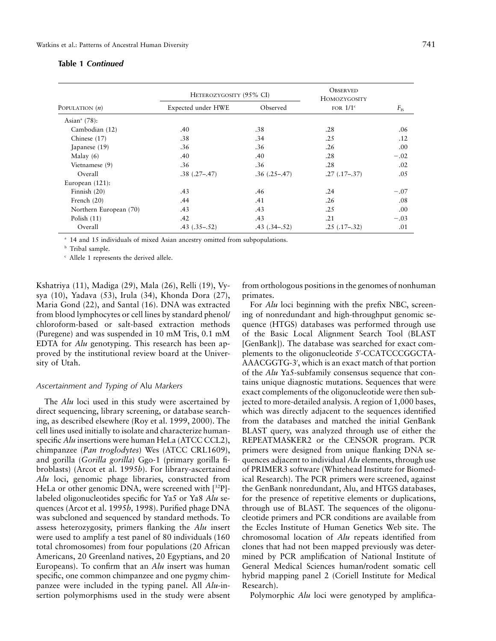|  |  | Table 1 <i>Continued</i> |
|--|--|--------------------------|
|--|--|--------------------------|

|                             | HETEROZYGOSITY (95% CI) | <b>OBSERVED</b><br>HOMOZYGOSITY |                        |          |
|-----------------------------|-------------------------|---------------------------------|------------------------|----------|
| POPULATION $(n)$            | Expected under HWE      | Observed                        | FOR $1/1$ <sup>c</sup> | $F_{IS}$ |
| Asian <sup>a</sup> $(78)$ : |                         |                                 |                        |          |
| Cambodian (12)              | .40                     | .38                             | .28                    | .06      |
| Chinese (17)                | .38                     | .34                             | .25                    | .12      |
| Japanese (19)               | .36                     | .36                             | .26                    | .00      |
| Malay $(6)$                 | .40                     | .40                             | .28                    | $-.02$   |
| Vietnamese (9)              | .36                     | .36                             | .28                    | .02      |
| Overall                     | $.38$ $(.27-.47)$       | $.36(.25-.47)$                  | $.27$ $(.17-.37)$      | .05      |
| European $(121)$ :          |                         |                                 |                        |          |
| Finnish $(20)$              | .43                     | .46                             | .24                    | $-.07$   |
| French $(20)$               | .44                     | .41                             | .26                    | .08      |
| Northern European (70)      | .43                     | .43                             | .25                    | .00.     |
| Polish $(11)$               | .42                     | .43                             | .21                    | $-.03$   |
| Overall                     | $.43$ $(.35-.52)$       | $.43$ $(.34 - .52)$             | $.25(.17-.32)$         | .01      |

<sup>a</sup> 14 and 15 individuals of mixed Asian ancestry omitted from subpopulations.

**b** Tribal sample.

<sup>c</sup> Allele 1 represents the derived allele.

Kshatriya (11), Madiga (29), Mala (26), Relli (19), Vysya (10), Yadava (53), Irula (34), Khonda Dora (27), Maria Gond (22), and Santal (16). DNA was extracted from blood lymphocytes or cell lines by standard phenol/ chloroform-based or salt-based extraction methods (Puregene) and was suspended in 10 mM Tris, 0.1 mM EDTA for *Alu* genotyping. This research has been approved by the institutional review board at the University of Utah.

#### *Ascertainment and Typing of* Alu *Markers*

The *Alu* loci used in this study were ascertained by direct sequencing, library screening, or database searching, as described elsewhere (Roy et al. 1999, 2000). The cell lines used initially to isolate and characterize humanspecific *Alu* insertions were human HeLa (ATCC CCL2), chimpanzee (*Pan troglodytes*) Wes (ATCC CRL1609), and gorilla (*Gorilla gorilla*) Ggo-1 (primary gorilla fibroblasts) (Arcot et al. 1995*b*). For library-ascertained *Alu* loci, genomic phage libraries, constructed from HeLa or other genomic DNA, were screened with  $[32P]$ labeled oligonucleotides specific for Ya5 or Ya8 *Alu* sequences (Arcot et al. 1995*b,* 1998). Purified phage DNA was subcloned and sequenced by standard methods. To assess heterozygosity, primers flanking the *Alu* insert were used to amplify a test panel of 80 individuals (160 total chromosomes) from four populations (20 African Americans, 20 Greenland natives, 20 Egyptians, and 20 Europeans). To confirm that an *Alu* insert was human specific, one common chimpanzee and one pygmy chimpanzee were included in the typing panel. All *Alu*-insertion polymorphisms used in the study were absent from orthologous positions in the genomes of nonhuman primates.

For *Alu* loci beginning with the prefix NBC, screening of nonredundant and high-throughput genomic sequence (HTGS) databases was performed through use of the Basic Local Alignment Search Tool (BLAST [GenBank]). The database was searched for exact complements to the oligonucleotide 5'-CCATCCCGGCTA-AAACGGTG-3', which is an exact match of that portion of the *Alu* Ya5-subfamily consensus sequence that contains unique diagnostic mutations. Sequences that were exact complements of the oligonucleotide were then subjected to more-detailed analysis. A region of 1,000 bases, which was directly adjacent to the sequences identified from the databases and matched the initial GenBank BLAST query, was analyzed through use of either the REPEATMASKER2 or the CENSOR program. PCR primers were designed from unique flanking DNA sequences adjacent to individual *Alu* elements, through use of PRIMER3 software (Whitehead Institute for Biomedical Research). The PCR primers were screened, against the GenBank nonredundant, Alu, and HTGS databases, for the presence of repetitive elements or duplications, through use of BLAST. The sequences of the oligonucleotide primers and PCR conditions are available from the Eccles Institute of Human Genetics Web site. The chromosomal location of *Alu* repeats identified from clones that had not been mapped previously was determined by PCR amplification of National Institute of General Medical Sciences human/rodent somatic cell hybrid mapping panel 2 (Coriell Institute for Medical Research).

Polymorphic *Alu* loci were genotyped by amplifica-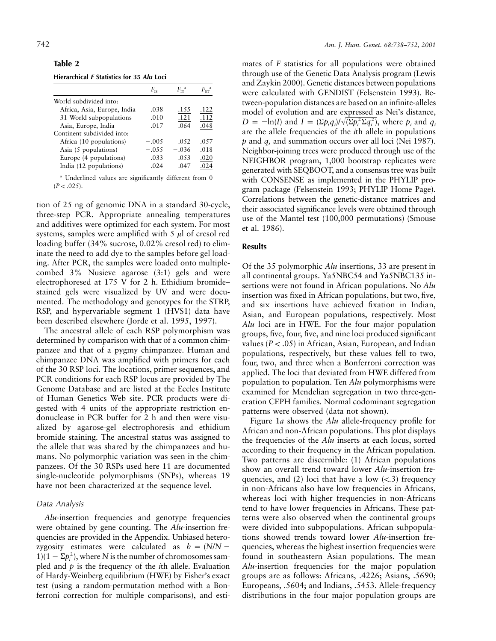**Hierarchical** *F* **Statistics for 35** *Alu* **Loci**

|                             | $F_{\rm rs}$ | $F_{rr}^{\ a}$ | $F_{\rm cr}^{\ \ a}$ |
|-----------------------------|--------------|----------------|----------------------|
| World subdivided into:      |              |                |                      |
| Africa, Asia, Europe, India | .038         | .155           | .122                 |
| 31 World subpopulations     | .010         | .121           | .112                 |
| Asia, Europe, India         | .017         | .064           | .048                 |
| Continent subdivided into:  |              |                |                      |
| Africa (10 populations)     | $-.005$      | .052           | .057                 |
| Asia (5 populations)        | $-.055$      | $-.036$        | .018                 |
| Europe (4 populations)      | .033         | .053           | .020                 |
| India (12 populations)      | .024         | .047           | .024                 |

<sup>a</sup> Underlined values are significantly different from 0  $(P < .025)$ .

tion of 25 ng of genomic DNA in a standard 30-cycle, three-step PCR. Appropriate annealing temperatures and additives were optimized for each system. For most systems, samples were amplified with 5  $\mu$ l of cresol red loading buffer (34% sucrose, 0.02% cresol red) to eliminate the need to add dye to the samples before gel loading. After PCR, the samples were loaded onto multiplecombed 3% Nusieve agarose (3:1) gels and were electrophoresed at 175 V for 2 h. Ethidium bromide– stained gels were visualized by UV and were documented. The methodology and genotypes for the STRP, RSP, and hypervariable segment 1 (HVS1) data have been described elsewhere (Jorde et al. 1995, 1997).

The ancestral allele of each RSP polymorphism was determined by comparison with that of a common chimpanzee and that of a pygmy chimpanzee. Human and chimpanzee DNA was amplified with primers for each of the 30 RSP loci. The locations, primer sequences, and PCR conditions for each RSP locus are provided by The Genome Database and are listed at the Eccles Institute of Human Genetics Web site. PCR products were digested with 4 units of the appropriate restriction endonuclease in PCR buffer for 2 h and then were visualized by agarose-gel electrophoresis and ethidium bromide staining. The ancestral status was assigned to the allele that was shared by the chimpanzees and humans. No polymorphic variation was seen in the chimpanzees. Of the 30 RSPs used here 11 are documented single-nucleotide polymorphisms (SNPs), whereas 19 have not been characterized at the sequence level.

#### *Data Analysis*

*Alu*-insertion frequencies and genotype frequencies were obtained by gene counting. The *Alu*-insertion frequencies are provided in the Appendix. Unbiased heterozygosity estimates were calculated as  $h = (N/N - 1)$  $1(1 - \Sigma p_i^2)$ , where *N* is the number of chromosomes sampled and *p* is the frequency of the *i*th allele. Evaluation of Hardy-Weinberg equilibrium (HWE) by Fisher's exact test (using a random-permutation method with a Bonferroni correction for multiple comparisons), and esti-

mates of *F* statistics for all populations were obtained through use of the Genetic Data Analysis program (Lewis and Zaykin 2000). Genetic distances between populations were calculated with GENDIST (Felsenstein 1993). Between-population distances are based on an infinite-alleles model of evolution and are expressed as Nei's distance,  $D = -\ln(I)$  and  $I = (\Sigma p_i q_i)/\sqrt{(\Sigma p_i^2 \Sigma q_i^2)}$ , where  $p_i$  and  $q_i$ are the allele frequencies of the *i*th allele in populations *p* and *q,* and summation occurs over all loci (Nei 1987). Neighbor-joining trees were produced through use of the NEIGHBOR program, 1,000 bootstrap replicates were generated with SEQBOOT, and a consensus tree was built with CONSENSE as implemented in the PHYLIP program package (Felsenstein 1993; PHYLIP Home Page). Correlations between the genetic-distance matrices and their associated significance levels were obtained through use of the Mantel test (100,000 permutations) (Smouse et al. 1986).

## **Results**

Of the 35 polymorphic *Alu* insertions, 33 are present in all continental groups. Ya5NBC54 and Ya5NBC135 insertions were not found in African populations. No *Alu* insertion was fixed in African populations, but two, five, and six insertions have achieved fixation in Indian, Asian, and European populations, respectively. Most *Alu* loci are in HWE. For the four major population groups, five, four, five, and nine loci produced significant values  $(P < .05)$  in African, Asian, European, and Indian populations, respectively, but these values fell to two, four, two, and three when a Bonferroni correction was applied. The loci that deviated from HWE differed from population to population. Ten *Alu* polymorphisms were examined for Mendelian segregation in two three-generation CEPH families. Normal codominant segregation patterns were observed (data not shown).

Figure 1*a* shows the *Alu* allele-frequency profile for African and non-African populations. This plot displays the frequencies of the *Alu* inserts at each locus, sorted according to their frequency in the African population. Two patterns are discernible: (1) African populations show an overall trend toward lower *Alu*-insertion frequencies, and  $(2)$  loci that have a low  $\langle \langle ., . \rangle \rangle$  frequency in non-Africans also have low frequencies in Africans, whereas loci with higher frequencies in non-Africans tend to have lower frequencies in Africans. These patterns were also observed when the continental groups were divided into subpopulations. African subpopulations showed trends toward lower *Alu*-insertion frequencies, whereas the highest insertion frequencies were found in southeastern Asian populations. The mean *Alu*-insertion frequencies for the major population groups are as follows: Africans, .4226; Asians, .5690; Europeans, .5604; and Indians, .5453. Allele-frequency distributions in the four major population groups are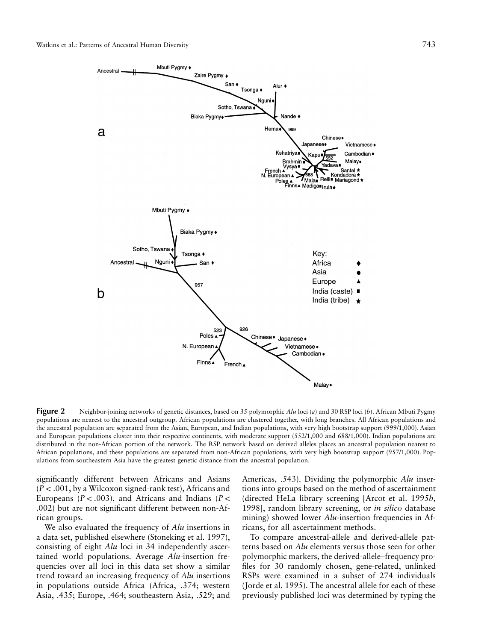

**Figure 2** Neighbor-joining networks of genetic distances, based on 35 polymorphic *Alu* loci (*a*) and 30 RSP loci (*b*). African Mbuti Pygmy populations are nearest to the ancestral outgroup. African populations are clustered together, with long branches. All African populations and the ancestral population are separated from the Asian, European, and Indian populations, with very high bootstrap support (999/1,000). Asian and European populations cluster into their respective continents, with moderate support (552/1,000 and 688/1,000). Indian populations are distributed in the non-African portion of the network. The RSP network based on derived alleles places an ancestral population nearest to African populations, and these populations are separated from non-African populations, with very high bootstrap support (957/1,000). Populations from southeastern Asia have the greatest genetic distance from the ancestral population.

significantly different between Africans and Asians  $(P < .001$ , by a Wilcoxon signed-rank test), Africans and Europeans ( $P < .003$ ), and Africans and Indians ( $P <$ .002) but are not significant different between non-African groups.

We also evaluated the frequency of *Alu* insertions in a data set, published elsewhere (Stoneking et al. 1997), consisting of eight *Alu* loci in 34 independently ascertained world populations. Average *Alu*-insertion frequencies over all loci in this data set show a similar trend toward an increasing frequency of *Alu* insertions in populations outside Africa (Africa, .374; western Asia, .435; Europe, .464; southeastern Asia, .529; and

Americas, .543). Dividing the polymorphic *Alu* insertions into groups based on the method of ascertainment (directed HeLa library screening [Arcot et al. 1995*b,* 1998], random library screening, or *in silico* database mining) showed lower *Alu*-insertion frequencies in Africans, for all ascertainment methods.

To compare ancestral-allele and derived-allele patterns based on *Alu* elements versus those seen for other polymorphic markers, the derived-allele–frequency profiles for 30 randomly chosen, gene-related, unlinked RSPs were examined in a subset of 274 individuals (Jorde et al. 1995). The ancestral allele for each of these previously published loci was determined by typing the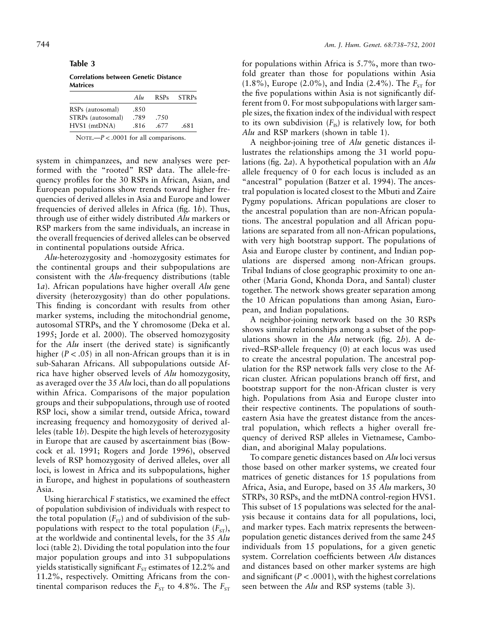**Table 3**

**Correlations between Genetic Distance Matrices**

|                   | Alu  | <b>RSPs</b> | <b>STRPs</b> |
|-------------------|------|-------------|--------------|
| RSPs (autosomal)  | .850 |             |              |
| STRPs (autosomal) | .789 | .750        |              |
| HVS1 (mtDNA)      | .816 | .677        | .681         |

NOTE.— $P < .0001$  for all comparisons.

system in chimpanzees, and new analyses were performed with the "rooted" RSP data. The allele-frequency profiles for the 30 RSPs in African, Asian, and European populations show trends toward higher frequencies of derived alleles in Asia and Europe and lower frequencies of derived alleles in Africa (fig. 1*b*). Thus, through use of either widely distributed *Alu* markers or RSP markers from the same individuals, an increase in the overall frequencies of derived alleles can be observed in continental populations outside Africa.

*Alu*-heterozygosity and -homozygosity estimates for the continental groups and their subpopulations are consistent with the *Alu*-frequency distributions (table 1*a*). African populations have higher overall *Alu* gene diversity (heterozygosity) than do other populations. This finding is concordant with results from other marker systems, including the mitochondrial genome, autosomal STRPs, and the Y chromosome (Deka et al. 1995; Jorde et al. 2000). The observed homozygosity for the *Alu* insert (the derived state) is significantly higher  $(P < .05)$  in all non-African groups than it is in sub-Saharan Africans. All subpopulations outside Africa have higher observed levels of *Alu* homozygosity, as averaged over the 35 *Alu* loci, than do all populations within Africa. Comparisons of the major population groups and their subpopulations, through use of rooted RSP loci, show a similar trend, outside Africa, toward increasing frequency and homozygosity of derived alleles (table 1*b*). Despite the high levels of heterozygosity in Europe that are caused by ascertainment bias (Bowcock et al. 1991; Rogers and Jorde 1996), observed levels of RSP homozygosity of derived alleles, over all loci, is lowest in Africa and its subpopulations, higher in Europe, and highest in populations of southeastern Asia.

Using hierarchical *F* statistics, we examined the effect of population subdivision of individuals with respect to the total population  $(F_{\text{IT}})$  and of subdivision of the subpopulations with respect to the total population  $(F_{ST})$ , at the worldwide and continental levels, for the 35 *Alu* loci (table 2). Dividing the total population into the four major population groups and into 31 subpopulations yields statistically significant  $F_{ST}$  estimates of 12.2% and 11.2%, respectively. Omitting Africans from the continental comparison reduces the  $F_{ST}$  to 4.8%. The  $F_{ST}$ 

for populations within Africa is 5.7%, more than twofold greater than those for populations within Asia  $(1.8\%)$ , Europe  $(2.0\%)$ , and India  $(2.4\%)$ . The  $F_{ST}$  for the five populations within Asia is not significantly different from 0. For most subpopulations with larger sample sizes, the fixation index of the individual with respect to its own subdivision  $(F_{IS})$  is relatively low, for both *Alu* and RSP markers (shown in table 1).

A neighbor-joining tree of *Alu* genetic distances illustrates the relationships among the 31 world populations (fig. 2*a*). A hypothetical population with an *Alu* allele frequency of 0 for each locus is included as an "ancestral" population (Batzer et al. 1994). The ancestral population is located closest to the Mbuti and Zaire Pygmy populations. African populations are closer to the ancestral population than are non-African populations. The ancestral population and all African populations are separated from all non-African populations, with very high bootstrap support. The populations of Asia and Europe cluster by continent, and Indian populations are dispersed among non-African groups. Tribal Indians of close geographic proximity to one another (Maria Gond, Khonda Dora, and Santal) cluster together. The network shows greater separation among the 10 African populations than among Asian, European, and Indian populations.

A neighbor-joining network based on the 30 RSPs shows similar relationships among a subset of the populations shown in the *Alu* network (fig. 2*b*). A derived–RSP-allele frequency (0) at each locus was used to create the ancestral population. The ancestral population for the RSP network falls very close to the African cluster. African populations branch off first, and bootstrap support for the non-African cluster is very high. Populations from Asia and Europe cluster into their respective continents. The populations of southeastern Asia have the greatest distance from the ancestral population, which reflects a higher overall frequency of derived RSP alleles in Vietnamese, Cambodian, and aboriginal Malay populations.

To compare genetic distances based on *Alu* loci versus those based on other marker systems, we created four matrices of genetic distances for 15 populations from Africa, Asia, and Europe, based on 35 *Alu* markers, 30 STRPs, 30 RSPs, and the mtDNA control-region HVS1. This subset of 15 populations was selected for the analysis because it contains data for all populations, loci, and marker types. Each matrix represents the betweenpopulation genetic distances derived from the same 245 individuals from 15 populations, for a given genetic system. Correlation coefficients between *Alu* distances and distances based on other marker systems are high and significant ( $P < .0001$ ), with the highest correlations seen between the *Alu* and RSP systems (table 3).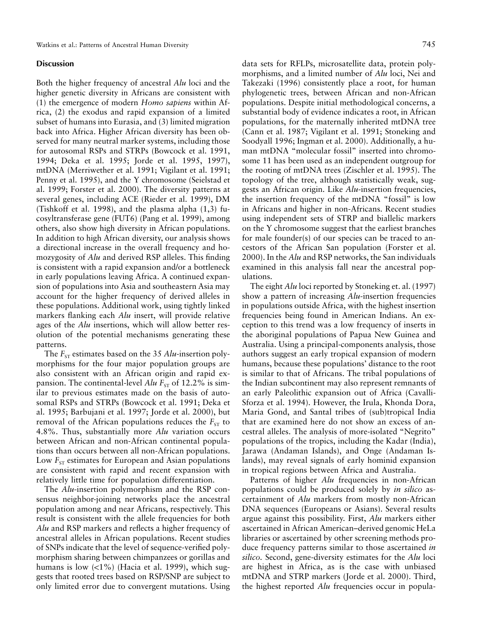#### **Discussion**

Both the higher frequency of ancestral *Alu* loci and the higher genetic diversity in Africans are consistent with (1) the emergence of modern *Homo sapiens* within Africa, (2) the exodus and rapid expansion of a limited subset of humans into Eurasia, and (3) limited migration back into Africa. Higher African diversity has been observed for many neutral marker systems, including those for autosomal RSPs and STRPs (Bowcock et al. 1991, 1994; Deka et al. 1995; Jorde et al. 1995, 1997), mtDNA (Merriwether et al. 1991; Vigilant et al. 1991; Penny et al. 1995), and the Y chromosome (Seielstad et al. 1999; Forster et al. 2000). The diversity patterns at several genes, including ACE (Rieder et al. 1999), DM (Tishkoff et al. 1998), and the plasma alpha (1,3) fucosyltransferase gene (FUT6) (Pang et al. 1999), among others, also show high diversity in African populations. In addition to high African diversity, our analysis shows a directional increase in the overall frequency and homozygosity of *Alu* and derived RSP alleles. This finding is consistent with a rapid expansion and/or a bottleneck in early populations leaving Africa. A continued expansion of populations into Asia and southeastern Asia may account for the higher frequency of derived alleles in these populations. Additional work, using tightly linked markers flanking each *Alu* insert, will provide relative ages of the *Alu* insertions, which will allow better resolution of the potential mechanisms generating these patterns.

The  $F_{ST}$  estimates based on the 35  $Alu$ -insertion polymorphisms for the four major population groups are also consistent with an African origin and rapid expansion. The continental-level *Alu* F<sub>ST</sub> of 12.2% is similar to previous estimates made on the basis of autosomal RSPs and STRPs (Bowcock et al. 1991; Deka et al. 1995; Barbujani et al. 1997; Jorde et al. 2000), but removal of the African populations reduces the  $F_{ST}$  to 4.8%. Thus, substantially more *Alu* variation occurs between African and non-African continental populations than occurs between all non-African populations. Low  $F_{ST}$  estimates for European and Asian populations are consistent with rapid and recent expansion with relatively little time for population differentiation.

The *Alu*-insertion polymorphism and the RSP consensus neighbor-joining networks place the ancestral population among and near Africans, respectively. This result is consistent with the allele frequencies for both *Alu* and RSP markers and reflects a higher frequency of ancestral alleles in African populations. Recent studies of SNPs indicate that the level of sequence-verified polymorphism sharing between chimpanzees or gorillas and humans is low  $\langle$ <1%) (Hacia et al. 1999), which suggests that rooted trees based on RSP/SNP are subject to only limited error due to convergent mutations. Using

data sets for RFLPs, microsatellite data, protein polymorphisms, and a limited number of *Alu* loci, Nei and Takezaki (1996) consistently place a root, for human phylogenetic trees, between African and non-African populations. Despite initial methodological concerns, a substantial body of evidence indicates a root, in African populations, for the maternally inherited mtDNA tree (Cann et al. 1987; Vigilant et al. 1991; Stoneking and Soodyall 1996; Ingman et al. 2000). Additionally, a human mtDNA "molecular fossil" inserted into chromosome 11 has been used as an independent outgroup for the rooting of mtDNA trees (Zischler et al. 1995). The topology of the tree, although statistically weak, suggests an African origin. Like *Alu*-insertion frequencies, the insertion frequency of the mtDNA "fossil" is low in Africans and higher in non-Africans. Recent studies using independent sets of STRP and biallelic markers on the Y chromosome suggest that the earliest branches for male founder(s) of our species can be traced to ancestors of the African San population (Forster et al. 2000). In the *Alu* and RSP networks, the San individuals examined in this analysis fall near the ancestral populations.

The eight *Alu* loci reported by Stoneking et. al. (1997) show a pattern of increasing *Alu*-insertion frequencies in populations outside Africa, with the highest insertion frequencies being found in American Indians. An exception to this trend was a low frequency of inserts in the aboriginal populations of Papua New Guinea and Australia. Using a principal-components analysis, those authors suggest an early tropical expansion of modern humans, because these populations' distance to the root is similar to that of Africans. The tribal populations of the Indian subcontinent may also represent remnants of an early Paleolithic expansion out of Africa (Cavalli-Sforza et al. 1994). However, the Irula, Khonda Dora, Maria Gond, and Santal tribes of (sub)tropical India that are examined here do not show an excess of ancestral alleles. The analysis of more-isolated "Negrito" populations of the tropics, including the Kadar (India), Jarawa (Andaman Islands), and Onge (Andaman Islands), may reveal signals of early hominid expansion in tropical regions between Africa and Australia.

Patterns of higher *Alu* frequencies in non-African populations could be produced solely by *in silico* ascertainment of *Alu* markers from mostly non-African DNA sequences (Europeans or Asians). Several results argue against this possibility. First, *Alu* markers either ascertained in African American–derived genomic HeLa libraries or ascertained by other screening methods produce frequency patterns similar to those ascertained *in silico.* Second, gene-diversity estimates for the *Alu* loci are highest in Africa, as is the case with unbiased mtDNA and STRP markers (Jorde et al. 2000). Third, the highest reported *Alu* frequencies occur in popula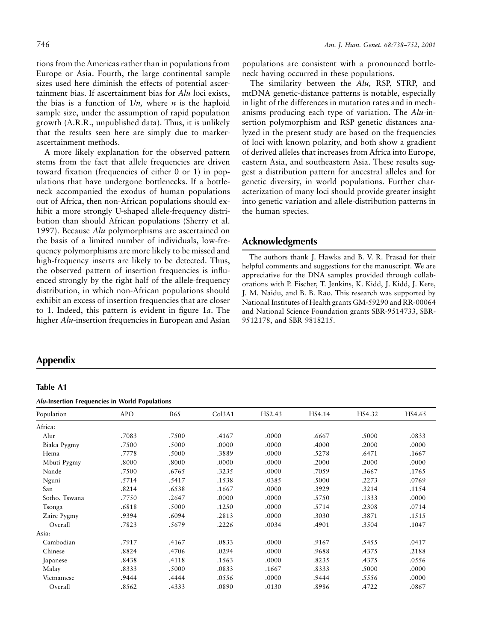tions from the Americas rather than in populations from Europe or Asia. Fourth, the large continental sample sizes used here diminish the effects of potential ascertainment bias. If ascertainment bias for *Alu* loci exists, the bias is a function of 1/*n,* where *n* is the haploid sample size, under the assumption of rapid population growth (A.R.R., unpublished data). Thus, it is unlikely that the results seen here are simply due to markerascertainment methods.

A more likely explanation for the observed pattern stems from the fact that allele frequencies are driven toward fixation (frequencies of either 0 or 1) in populations that have undergone bottlenecks. If a bottleneck accompanied the exodus of human populations out of Africa, then non-African populations should exhibit a more strongly U-shaped allele-frequency distribution than should African populations (Sherry et al. 1997). Because *Alu* polymorphisms are ascertained on the basis of a limited number of individuals, low-frequency polymorphisms are more likely to be missed and high-frequency inserts are likely to be detected. Thus, the observed pattern of insertion frequencies is influenced strongly by the right half of the allele-frequency distribution, in which non-African populations should exhibit an excess of insertion frequencies that are closer to 1. Indeed, this pattern is evident in figure 1*a*. The higher *Alu*-insertion frequencies in European and Asian

populations are consistent with a pronounced bottleneck having occurred in these populations.

The similarity between the *Alu,* RSP, STRP, and mtDNA genetic-distance patterns is notable, especially in light of the differences in mutation rates and in mechanisms producing each type of variation. The *Alu*-insertion polymorphism and RSP genetic distances analyzed in the present study are based on the frequencies of loci with known polarity, and both show a gradient of derived alleles that increases from Africa into Europe, eastern Asia, and southeastern Asia. These results suggest a distribution pattern for ancestral alleles and for genetic diversity, in world populations. Further characterization of many loci should provide greater insight into genetic variation and allele-distribution patterns in the human species.

## **Acknowledgments**

The authors thank J. Hawks and B. V. R. Prasad for their helpful comments and suggestions for the manuscript. We are appreciative for the DNA samples provided through collaborations with P. Fischer, T. Jenkins, K. Kidd, J. Kidd, J. Kere, J. M. Naidu, and B. B. Rao. This research was supported by National Institutes of Health grants GM-59290 and RR-00064 and National Science Foundation grants SBR-9514733, SBR-9512178, and SBR 9818215.

## **Appendix**

#### **Table A1**

#### *Alu***-Insertion Frequencies in World Populations**

| Population    | <b>APO</b> | <b>B65</b> | Col3A1 | HS2.43 | HS4.14 | HS4.32 | HS4.65 |
|---------------|------------|------------|--------|--------|--------|--------|--------|
| Africa:       |            |            |        |        |        |        |        |
| Alur          | .7083      | .7500      | .4167  | .0000  | .6667  | .5000  | .0833  |
| Biaka Pygmy   | .7500      | .5000      | .0000  | .0000  | .4000  | .2000  | .0000  |
| Hema          | .7778      | .5000      | .3889  | .0000  | .5278  | .6471  | .1667  |
| Mbuti Pygmy   | .8000      | .8000      | .0000  | .0000  | .2000  | .2000  | .0000  |
| Nande         | .7500      | .6765      | .3235  | .0000  | .7059  | .3667  | .1765  |
| Nguni         | .5714      | .5417      | .1538  | .0385  | .5000  | .2273  | .0769  |
| San           | .8214      | .6538      | .1667  | .0000  | .3929  | .3214  | .1154  |
| Sotho, Tswana | .7750      | .2647      | .0000  | .0000  | .5750  | .1333  | .0000  |
| Tsonga        | .6818      | .5000      | .1250  | .0000  | .5714  | .2308  | .0714  |
| Zaire Pygmy   | .9394      | .6094      | .2813  | .0000  | .3030  | .3871  | .1515  |
| Overall       | .7823      | .5679      | .2226  | .0034  | .4901  | .3504  | .1047  |
| Asia:         |            |            |        |        |        |        |        |
| Cambodian     | .7917      | .4167      | .0833  | .0000  | .9167  | .5455  | .0417  |
| Chinese       | .8824      | .4706      | .0294  | .0000  | .9688  | .4375  | .2188  |
| Japanese      | .8438      | .4118      | .1563  | .0000  | .8235  | .4375  | .0556  |
| Malay         | .8333      | .5000      | .0833  | .1667  | .8333  | .5000  | .0000  |
| Vietnamese    | .9444      | .4444      | .0556  | .0000  | .9444  | .5556  | .0000  |
| Overall       | .8562      | .4333      | .0890  | .0130  | .8986  | .4722  | .0867  |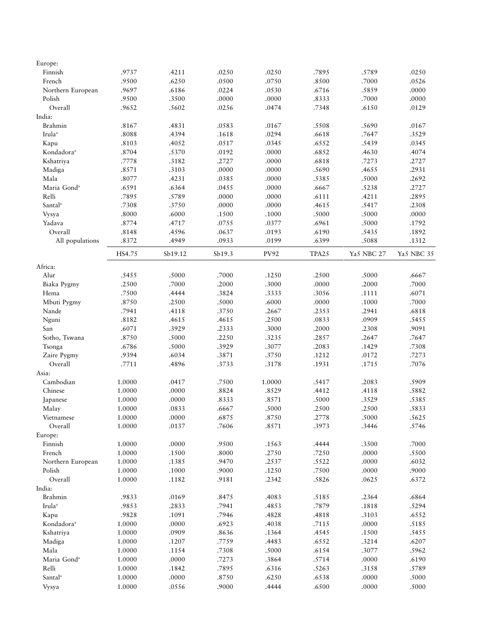| Europe:                        |        |         |        |                |       |                |            |
|--------------------------------|--------|---------|--------|----------------|-------|----------------|------------|
| Finnish                        | .9737  | .4211   | .0250  | .0250          | .7895 | .5789          | .0250      |
| French                         | .9500  | .6250   | .0500  | .0750          | .8500 | .7000          | .0526      |
| Northern European              | .9697  | .6186   | .0224  | .0530          | .6716 | .5859          | .0000      |
| Polish                         | .9500  | .3500   | .0000  | .0000          | .8333 | .7000          | .0000      |
| Overall                        | .9652  | .5602   | .0256  | .0474          | .7348 | .6150          | .0129      |
| India:                         |        |         |        |                |       |                |            |
| Brahmin                        | .8167  | .4831   | .0583  | .0167          | .5508 | .5690          | .0167      |
| Irula <sup>a</sup>             | .8088  | .4394   | .1618  | .0294          | .6618 | .7647          | .3529      |
| Kapu                           | .8103  | .4052   | .0517  | .0345          | .6552 | .5439          | .0345      |
| Kondadora <sup>ª</sup>         | .8704  | .5370   | .0192  | .0000          | .6852 | .4630          | .4074      |
| Kshatriya                      | .7778  | .3182   | .2727  | .0000          | .6818 | .7273          | .2727      |
| Madiga                         | .8571  | .3103   | .0000  | .0000          | .5690 | .4655          | .2931      |
| Mala                           | .8077  | .4231   | .0385  | .0000          | .5385 | .5000          | .2692      |
| Maria Gond <sup>a</sup>        | .6591  | .6364   | .0455  | .0000          | .6667 | .5238          | .2727      |
| Relli                          | .7895  | .5789   | .0000  | .0000          | .6111 | .4211          | .2895      |
| Santal <sup>a</sup>            | .7308  | .3750   | .0000  | .0000          | .4615 | .5417          | .2308      |
| Vysya                          | .8000  | .6000   | .1500  | .1000          | .5000 | .5000          | .0000      |
| Yadava                         | .8774  | .4717   | .0755  | .0377          | .6961 | .5000          | .1792      |
| Overall                        | .8148  | .4596   | .0637  | .0193          | .6190 | .5435          | .1892      |
| All populations                | .8372  | .4949   | .0933  | .0199          | .6399 | .5088          | .1312      |
|                                |        |         |        |                |       |                |            |
|                                | HS4.75 | Sb19.12 | Sb19.3 | <b>PV92</b>    | TPA25 | Ya5 NBC 27     | Ya5 NBC 35 |
| Africa:                        |        |         |        |                |       |                |            |
| Alur                           | .5455  | .5000   | .7000  | .1250          | .2500 | .5000          | .6667      |
| Biaka Pygmy                    | .2500  | .7000   | .2000  | .3000          | .0000 | .2000          | .7000      |
| Hema                           | .7500  | .4444   | .3824  | .3333          | .3056 | .1111          | .6071      |
| Mbuti Pygmy                    | .8750  | .2500   | .5000  | .6000          | .0000 | .1000          | .7000      |
| Nande                          | .7941  | .4118   | .3750  | .2667          | .2353 | .2941          | .6818      |
| Nguni                          | .8182  | .4615   | .4615  | .2500          | .0833 | .0909          | .5455      |
| San                            | .6071  | .3929   | .2333  | .3000          | .2000 | .2308          | .9091      |
| Sotho, Tswana                  | .8750  | .5000   | .2250  | .3235          | .2857 | .2647          | .7647      |
| Tsonga                         | .6786  | .5000   | .3929  | .3077          | .2083 | .1429          | .7308      |
| Zaire Pygmy                    | .9394  | .6034   | .3871  | .3750          | .1212 | .0172          | .7273      |
| Overall                        | .7711  | .4896   | .3733  | .3178          | .1931 | .1715          | .7076      |
| Asia:                          |        |         |        |                |       |                |            |
| Cambodian                      | 1.0000 | .0417   | .7500  | 1.0000         | .5417 | .2083          | .5909      |
| Chinese                        | 1.0000 | .0000   | .8824  | .8529          | .4412 | .4118          | .5882      |
| Japanese                       | 1.0000 | .0000   | .8333  | .8571          | .5000 | .3529          | .5385      |
| Malay                          | 1.0000 | .0833   | .6667  | .5000          | .2500 | .2500          | .5833      |
| Vietnamese                     | 1.0000 | .0000   | .6875  | .8750          | .2778 | .5000          | .5625      |
| Overall                        | 1.0000 | .0137   | .7606  | .8571          | .3973 | .3446          | .5746      |
| Europe:                        |        |         |        |                |       |                |            |
| Finnish                        | 1.0000 | .0000   | .9500  | .1563          | .4444 | .3500          | .7000      |
| French                         | 1.0000 | .1500   | .8000  | .2750          | .7250 | .0000          | .5500      |
| Northern European              | 1.0000 | .1385   | .9470  | .2537          | .5522 | .0000          | .6032      |
| Polish                         | 1.0000 | .1000   | .9000  |                | .7500 | .0000          | .9000      |
| Overall                        | 1.0000 |         | .9181  | .1250<br>.2342 | .5826 | .0625          | .6372      |
| India:                         |        | .1182   |        |                |       |                |            |
| Brahmin                        |        |         |        |                |       |                |            |
|                                | .9833  | .0169   | .8475  | .4083          | .5185 | .2364<br>.1818 | .6864      |
| Irula <sup>a</sup>             | .9853  | .2833   | .7941  | .4853          | .7879 |                | .5294      |
| Kapu<br>Kondadora <sup>a</sup> | .9828  | .1091   | .7946  | .4828          | .4818 | .3103          | .6552      |
|                                | 1.0000 | .0000   | .6923  | .4038          | .7115 | .0000          | .5185      |
| Kshatriya                      | 1.0000 | .0909   | .8636  | .1364          | .4545 | .1500          | .5455      |
| Madiga                         | 1.0000 | .1207   | .7759  | .4483          | .6552 | .3214          | .6207      |
| Mala                           | 1.0000 | .1154   | .7308  | .5000          | .6154 | .3077          | .5962      |
| Maria Gond <sup>a</sup>        | 1.0000 | .0000   | .7273  | .3864          | .5714 | .0000          | .6190      |
| Relli                          | 1.0000 | .1842   | .7895  | .6316          | .5263 | .3158          | .5789      |
| Santal <sup>a</sup>            | 1.0000 | .0000   | .8750  | .6250          | .6538 | .0000          | .5000      |
| Vysya                          | 1.0000 | .0556   | .9000  | .4444          | .6500 | .0000          | .5000      |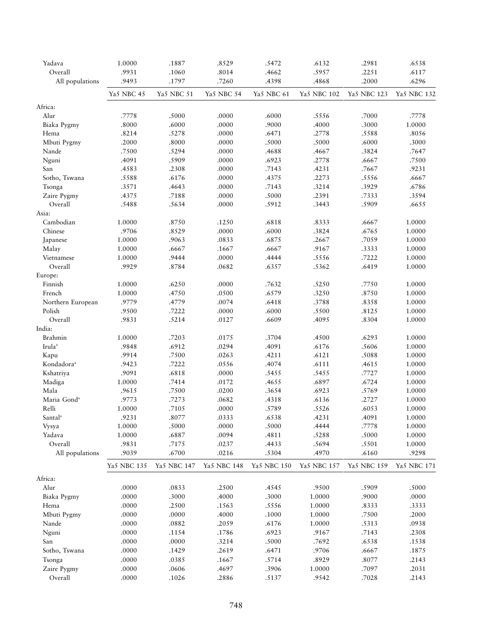| Yadava                  | 1.0000      | .1887       | .8529       | .5472       | .6132       | .2981       | .6538       |
|-------------------------|-------------|-------------|-------------|-------------|-------------|-------------|-------------|
| Overall                 | .9931       | .1060       | .8014       | .4662       | .5957       | .2251       | .6117       |
| All populations         | .9493       | .1797       | .7260       | .4398       | .4868       | .2000       | .6296       |
|                         | Ya5 NBC 45  | Ya5 NBC 51  | Ya5 NBC 54  | Ya5 NBC 61  | Ya5 NBC 102 | Ya5 NBC 123 | Ya5 NBC 132 |
| Africa:                 |             |             |             |             |             |             |             |
| Alur                    | .7778       | .5000       | .0000       | .6000       | .5556       | .7000       | .7778       |
| Biaka Pygmy             | .8000       | .6000       | .0000       | .9000       | .4000       | .3000       | 1.0000      |
| Hema                    | .8214       | .5278       | .0000       | .6471       | .2778       | .5588       | .8056       |
| Mbuti Pygmy             | .2000       | .8000       | .0000       | .5000       | .5000       | .6000       | .3000       |
| Nande                   | .7500       | .5294       | .0000       | .4688       | .4667       | .3824       | .7647       |
| Nguni                   | .4091       | .5909       | .0000       | .6923       | .2778       | .6667       | .7500       |
| San                     | .4583       | .2308       | .0000       | .7143       | .4231       | .7667       | .9231       |
| Sotho, Tswana           | .5588       | .6176       | .0000       | .4375       | .2273       | .5556       | .6667       |
|                         |             | .4643       | .0000       | .7143       | .3214       |             |             |
| Tsonga                  | .3571       |             |             |             |             | .3929       | .6786       |
| Zaire Pygmy             | .4375       | .7188       | .0000       | .5000       | .2391       | .7333       | .3594       |
| Overall                 | .5488       | .5634       | .0000       | .5912       | .3443       | .5909       | .6655       |
| Asia:                   |             |             |             |             |             |             |             |
| Cambodian               | 1.0000      | .8750       | .1250       | .6818       | .8333       | .6667       | 1.0000      |
| Chinese                 | .9706       | .8529       | .0000       | .6000       | .3824       | .6765       | 1.0000      |
| Japanese                | 1.0000      | .9063       | .0833       | .6875       | .2667       | .7059       | 1.0000      |
| Malay                   | 1.0000      | .6667       | .1667       | .6667       | .9167       | .3333       | 1.0000      |
| Vietnamese              | 1.0000      | .9444       | .0000       | .4444       | .5556       | .7222       | 1.0000      |
| Overall                 | .9929       | .8784       | .0682       | .6357       | .5362       | .6419       | 1.0000      |
| Europe:                 |             |             |             |             |             |             |             |
| Finnish                 | 1.0000      | .6250       | .0000       | .7632       | .5250       | .7750       | 1.0000      |
| French                  | 1.0000      | .4750       | .0500       | .6579       | .3250       | .8750       | 1.0000      |
| Northern European       | .9779       | .4779       | .0074       | .6418       | .3788       | .8358       | 1.0000      |
| Polish                  | .9500       | .7222       | .0000       | .6000       | .5500       | .8125       | 1.0000      |
| Overall                 | .9831       | .5214       | .0127       | .6609       | .4095       | .8304       | 1.0000      |
| India:                  |             |             |             |             |             |             |             |
| Brahmin                 | 1.0000      | .7203       | .0175       | .3704       | .4500       | .6293       | 1.0000      |
| Irula <sup>a</sup>      | .9848       | .6912       | .0294       | .4091       | .6176       | .5606       | 1.0000      |
| Kapu                    | .9914       | .7500       | .0263       | .4211       | .6121       | .5088       | 1.0000      |
| Kondadoraª              | .9423       | .7222       | .0556       | .4074       | .6111       | .4615       | 1.0000      |
| Kshatriya               | .9091       | .6818       | .0000       | .5455       | .5455       | .7727       | 1.0000      |
| Madiga                  | 1.0000      | .7414       | .0172       | .4655       | .6897       | .6724       | 1.0000      |
| Mala                    | .9615       | .7500       | .0200       | .3654       | .6923       | .5769       | 1.0000      |
| Maria Gond <sup>a</sup> | .9773       | .7273       | .0682       | .4318       | .6136       | .2727       | 1.0000      |
| Relli                   | 1.0000      | .7105       | .0000       | .5789       | .5526       | .6053       | 1.0000      |
| Santal <sup>a</sup>     | .9231       | .8077       | .0333       | .6538       | .4231       | .4091       | 1.0000      |
| Vysya                   | 1.0000      | .5000       | .0000       | .5000       | .4444       | .7778       | 1.0000      |
| Yadava                  | 1.0000      | .6887       | .0094       | .4811       | .5288       | .5000       | 1.0000      |
| Overall                 | .9831       | .7175       | .0237       | .4433       | .5694       | .5501       | 1.0000      |
| All populations         | .9039       | .6700       | .0216       | .5304       | .4970       | .6160       | .9298       |
|                         | Ya5 NBC 135 | Ya5 NBC 147 | Ya5 NBC 148 | Ya5 NBC 150 | Ya5 NBC 157 | Ya5 NBC 159 | Ya5 NBC 171 |
| Africa:                 |             |             |             |             |             |             |             |
| Alur                    | .0000       | .0833       | .2500       | .4545       | .9500       | .5909       | .5000       |
| Biaka Pygmy             | .0000       | .3000       | .4000       | .3000       | 1.0000      | .9000       | .0000       |
| Hema                    | .0000       | .2500       | .1563       | .5556       | 1.0000      | .8333       | .3333       |
| Mbuti Pygmy             | .0000       | .0000       | .4000       | .1000       | 1.0000      | .7500       | .2000       |
| Nande                   | .0000       | .0882       | .2059       | .6176       | 1.0000      | .5313       | .0938       |
|                         | .0000       |             |             | .6923       | .9167       |             |             |
| Nguni                   |             | .1154       | .1786       |             |             | .7143       | .2308       |
| San                     | .0000       | .0000       | .3214       | .5000       | .7692       | .6538       | .1538       |
| Sotho, Tswana           | .0000       | .1429       | .2619       | .6471       | .9706       | .6667       | .1875       |
| Tsonga                  | .0000       | .0385       | .1667       | .5714       | .8929       | .8077       | .2143       |
| Zaire Pygmy             | .0000       | .0606       | .4697       | .3906       | 1.0000      | .7097       | .2031       |
| Overall                 | .0000       | .1026       | .2886       | .5137       | .9542       | .7028       | .2143       |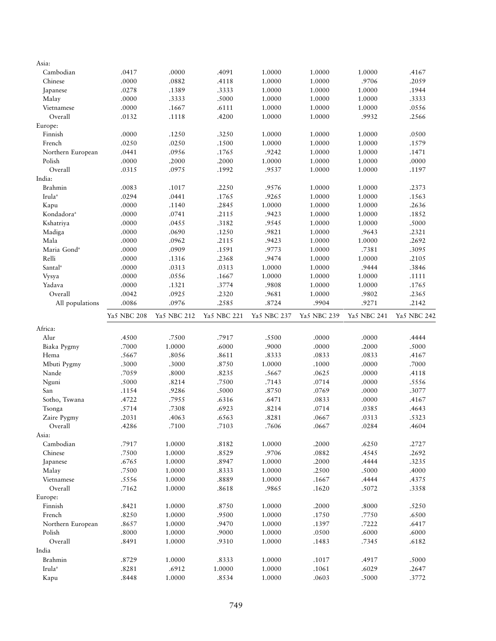| Asia:                      |                |                 |                 |                  |                |                |                |
|----------------------------|----------------|-----------------|-----------------|------------------|----------------|----------------|----------------|
| Cambodian                  | .0417          | .0000           | .4091           | 1.0000           | 1.0000         | 1.0000         | .4167          |
| Chinese                    | .0000          | .0882           | .4118           | 1.0000           | 1.0000         | .9706          | .2059          |
| Japanese                   | .0278          | .1389           | .3333           | 1.0000           | 1.0000         | 1.0000         | .1944          |
| Malay                      | .0000          | .3333           | .5000           | 1.0000           | 1.0000         | 1.0000         | .3333          |
| Vietnamese                 | .0000          | .1667           | .6111           | 1.0000           | 1.0000         | 1.0000         | .0556          |
| Overall                    | .0132          | .1118           | .4200           | 1.0000           | 1.0000         | .9932          | .2566          |
| Europe:                    |                |                 |                 |                  |                |                |                |
| Finnish                    | .0000          | .1250           | .3250           | 1.0000           | 1.0000         | 1.0000         | .0500          |
| French                     | .0250          | .0250           | .1500           | 1.0000           | 1.0000         | 1.0000         | .1579          |
| Northern European          | .0441          | .0956           | .1765           | .9242            | 1.0000         | 1.0000         | .1471          |
| Polish                     | .0000          | .2000           | .2000           | 1.0000           | 1.0000         | 1.0000         | .0000          |
| Overall                    | .0315          | .0975           | .1992           | .9537            | 1.0000         | 1.0000         | .1197          |
| India:                     |                |                 |                 |                  |                |                |                |
| Brahmin                    | .0083          | .1017           | .2250           | .9576            | 1.0000         | 1.0000         | .2373          |
| Irula <sup>a</sup>         | .0294          | .0441           | .1765           | .9265            | 1.0000         | 1.0000         | .1563          |
| Kapu                       | .0000          | .1140           | .2845           | 1.0000           | 1.0000         | 1.0000         | .2636          |
| Kondadora <sup>ª</sup>     | .0000          | .0741           | .2115           | .9423            | 1.0000         | 1.0000         | .1852          |
| Kshatriya                  | .0000          | .0455           | .3182           | .9545            | 1.0000         | 1.0000         | .5000          |
| Madiga                     | .0000          | .0690           | .1250           | .9821            | 1.0000         | .9643          | .2321          |
| Mala                       | .0000          | .0962           | .2115           | .9423            | 1.0000         | 1.0000         | .2692          |
| Maria Gond <sup>a</sup>    | .0000          | .0909           | .1591           | .9773            | 1.0000         | .7381          | .3095          |
| Relli                      | .0000          | .1316           | .2368           | .9474            | 1.0000         | 1.0000         | .2105          |
| Santal <sup>a</sup>        | .0000          | .0313           | .0313           | 1.0000           | 1.0000         | .9444          | .3846          |
| Vysya                      | .0000          | .0556           | .1667           | 1.0000           | 1.0000         | 1.0000         | .1111          |
| Yadava                     | .0000          | .1321           | .3774           | .9808            | 1.0000         | 1.0000         | .1765          |
| Overall                    | .0042          | .0925           | .2320           | .9681            | 1.0000         | .9802          | .2365          |
| All populations            | .0086          | .0976           | .2585           | .8724            | .9904          | .9271          | .2142          |
|                            | Ya5 NBC 208    | Ya5 NBC 212     | Ya5 NBC 221     | Ya5 NBC 237      | Ya5 NBC 239    | Ya5 NBC 241    | Ya5 NBC 242    |
|                            |                |                 |                 |                  |                |                |                |
| Africa:                    |                |                 |                 |                  |                |                |                |
| Alur                       | .4500          | .7500           | .7917           | .5500            | .0000          | .0000          | .4444          |
| Biaka Pygmy                | .7000          | 1.0000          | .6000           | .9000            | .0000          | .2000          | .5000          |
| Hema                       | .5667          | .8056           | .8611           | .8333            | .0833          | .0833          | .4167          |
| Mbuti Pygmy                | .3000          | .3000           | .8750           | 1.0000           | .1000          | .0000          | .7000          |
| Nande                      |                | .8000           | .8235           |                  | .0625          | .0000          | .4118          |
|                            | .7059          |                 |                 | .5667            |                |                |                |
| Nguni                      | .5000          | .8214           | .7500           | .7143            | .0714          | .0000          | .5556          |
| San                        | .1154          | .9286           | .5000           | .8750            | .0769          | .0000          | .3077          |
| Sotho, Tswana              | .4722          | .7955           | .6316           | .6471            | .0833          | .0000          | .4167          |
| Tsonga                     | .5714          | .7308           | .6923           | .8214            | .0714          | .0385          | .4643          |
| Zaire Pygmy                | .2031          | .4063           | .6563           | .8281            | .0667          | .0313          | .5323          |
| Overall                    | .4286          | .7100           | .7103           | .7606            | .0667          | .0284          | .4604          |
| Asia:                      |                |                 |                 |                  |                |                |                |
| Cambodian                  | .7917          | 1.0000          | .8182           | 1.0000           | .2000          | .6250          | .2727          |
| Chinese                    | .7500          | 1.0000          | .8529           | .9706            | .0882          | .4545          | .2692          |
| Japanese                   | .6765          | 1.0000          | .8947           | 1.0000           | .2000          | .4444          | .3235          |
| Malay                      | .7500          | 1.0000          | .8333           | 1.0000           | .2500          | .5000          | .4000          |
| Vietnamese                 | .5556          | 1.0000          | .8889           | 1.0000           | .1667          | .4444          | .4375          |
| Overall                    | .7162          | 1.0000          | .8618           | .9865            | .1620          | .5072          | .3358          |
| Europe:                    |                |                 |                 |                  |                |                |                |
| Finnish                    | .8421          | 1.0000          | .8750           | 1.0000           | .2000          | .8000          | .5250          |
| French                     | .8250          | 1.0000          | .9500           | 1.0000           | .1750          | .7750          | .6500          |
| Northern European          | .8657          | 1.0000          | .9470           | 1.0000           | .1397          | .7222          | .6417          |
| Polish                     | .8000          | 1.0000          | .9000           | 1.0000           | .0500          | .6000          | .6000          |
| Overall                    | .8491          | 1.0000          | .9310           | 1.0000           | .1483          | .7345          | .6182          |
| India                      |                |                 |                 |                  |                |                |                |
| Brahmin                    | .8729          | 1.0000          | .8333           | 1.0000           | .1017          | .4917          | .5000          |
| Irula <sup>a</sup><br>Kapu | .8281<br>.8448 | .6912<br>1.0000 | 1.0000<br>.8534 | 1.0000<br>1.0000 | .1061<br>.0603 | .6029<br>.5000 | .2647<br>.3772 |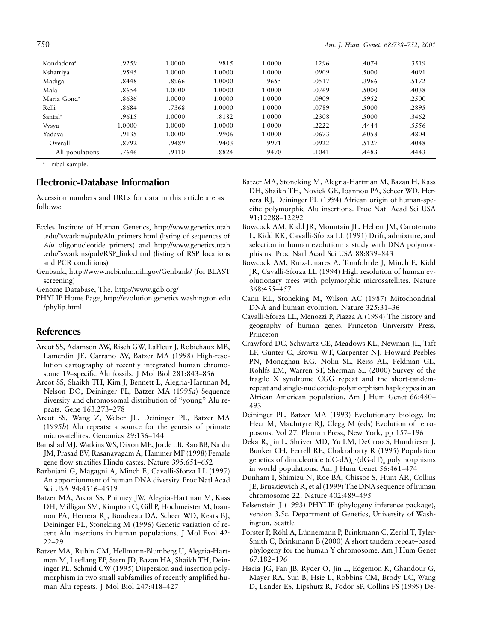3519 1.0000 .1296 .4074 .3519 Kondadora<sup>a</sup> .3519 .4074 .3519 Kshatriya .9545 1.0000 1.0000 1.0000 .0909 .5000 .4091 Madiga .8448 .8966 1.0000 .9655 .0517 .3966 .5172 Mala .8654 1.0000 1.0000 1.0000 .0769 .5000 .4038 1.0000 .5952 .2500 .8636 1.0000 1.0000 1.0000 .0909 .5952 883 .8684 .7368 1.0000 1.0000 .789 .5000 .72895 .8684 .8684 .5000 .5000 .2895 Santala .9615 1.0000 .8182 1.0000 .2308 .5000 .3462 Vysya 1.0000 1.0000 1.0000 1.0000 .2222 .4444 .5556 4804. 6058. 1.0000 .9906 1.0000 .9906 .9976 .6058 .4804 .4804 Overall .8792 .9489 .9403 .9971 .0922 .5127 .4048 All populations . 7646 .9110 .8824 .9470 . 1041 .4483 .4443

<sup>a</sup> Tribal sample.

## **Electronic-Database Information**

Accession numbers and URLs for data in this article are as follows:

- Eccles Institute of Human Genetics, http://www.genetics.utah .edu/˜swatkins/pub/Alu\_primers.html (listing of sequences of *Alu* oligonucleotide primers) and http://www.genetics.utah .edu/˜swatkins/pub/RSP\_links.html (listing of RSP locations and PCR conditions)
- Genbank, http://www.ncbi.nlm.nih.gov/Genbank/ (for BLAST screening)

Genome Database, The, http://www.gdb.org/

PHYLIP Home Page, http://evolution.genetics.washington.edu /phylip.html

## **References**

- Arcot SS, Adamson AW, Risch GW, LaFleur J, Robichaux MB, Lamerdin JE, Carrano AV, Batzer MA (1998) High-resolution cartography of recently integrated human chromosome 19–specific Alu fossils. J Mol Biol 281:843–856
- Arcot SS, Shaikh TH, Kim J, Bennett L, Alegria-Hartman M, Nelson DO, Deininger PL, Batzer MA (1995*a*) Sequence diversity and chromosomal distribution of "young" Alu repeats. Gene 163:273–278
- Arcot SS, Wang Z, Weber JL, Deininger PL, Batzer MA (1995*b*) Alu repeats: a source for the genesis of primate microsatellites. Genomics 29:136–144
- Bamshad MJ, Watkins WS, Dixon ME, Jorde LB, Rao BB, Naidu JM, Prasad BV, Rasanayagam A, Hammer MF (1998) Female gene flow stratifies Hindu castes. Nature 395:651–652
- Barbujani G, Magagni A, Minch E, Cavalli-Sforza LL (1997) An apportionment of human DNA diversity. Proc Natl Acad Sci USA 94:4516–4519
- Batzer MA, Arcot SS, Phinney JW, Alegria-Hartman M, Kass DH, Milligan SM, Kimpton C, Gill P, Hochmeister M, Ioannou PA, Herrera RJ, Boudreau DA, Scheer WD, Keats BJ, Deininger PL, Stoneking M (1996) Genetic variation of recent Alu insertions in human populations. J Mol Evol 42: 22–29
- Batzer MA, Rubin CM, Hellmann-Blumberg U, Alegria-Hartman M, Leeflang EP, Stern JD, Bazan HA, Shaikh TH, Deininger PL, Schmid CW (1995) Dispersion and insertion polymorphism in two small subfamilies of recently amplified human Alu repeats. J Mol Biol 247:418–427
- Batzer MA, Stoneking M, Alegria-Hartman M, Bazan H, Kass DH, Shaikh TH, Novick GE, Ioannou PA, Scheer WD, Herrera RJ, Deininger PL (1994) African origin of human-specific polymorphic Alu insertions. Proc Natl Acad Sci USA 91:12288–12292
- Bowcock AM, Kidd JR, Mountain JL, Hebert JM, Carotenuto L, Kidd KK, Cavalli-Sforza LL (1991) Drift, admixture, and selection in human evolution: a study with DNA polymorphisms. Proc Natl Acad Sci USA 88:839–843
- Bowcock AM, Ruiz-Linares A, Tomfohrde J, Minch E, Kidd JR, Cavalli-Sforza LL (1994) High resolution of human evolutionary trees with polymorphic microsatellites. Nature 368:455–457
- Cann RL, Stoneking M, Wilson AC (1987) Mitochondrial DNA and human evolution. Nature 325:31–36
- Cavalli-Sforza LL, Menozzi P, Piazza A (1994) The history and geography of human genes. Princeton University Press, Princeton
- Crawford DC, Schwartz CE, Meadows KL, Newman JL, Taft LF, Gunter C, Brown WT, Carpenter NJ, Howard-Peebles PN, Monaghan KG, Nolin SL, Reiss AL, Feldman GL, Rohlfs EM, Warren ST, Sherman SL (2000) Survey of the fragile X syndrome CGG repeat and the short-tandemrepeat and single-nucleotide-polymorphism haplotypes in an African American population. Am J Hum Genet 66:480– 493
- Deininger PL, Batzer MA (1993) Evolutionary biology. In: Hect M, MacIntyre RJ, Clegg M (eds) Evolution of retroposons. Vol 27. Plenum Press, New York, pp 157–196
- Deka R, Jin L, Shriver MD, Yu LM, DeCroo S, Hundrieser J, Bunker CH, Ferrell RE, Chakraborty R (1995) Population genetics of dinucleotide  $(dC-dA)_n \cdot (dG-dT)_n$  polymorphisms in world populations. Am J Hum Genet 56:461–474
- Dunham I, Shimizu N, Roe BA, Chissoe S, Hunt AR, Collins JE, Bruskiewich R, et al (1999) The DNA sequence of human chromosome 22. Nature 402:489–495
- Felsenstein J (1993) PHYLIP (phylogeny inference package), version 3.5c. Department of Genetics, University of Washington, Seattle
- Forster P, Röhl A, Lünnemann P, Brinkmann C, Zerjal T, Tyler-Smith C, Brinkmann B (2000) A short tandem repeat–based phylogeny for the human Y chromosome. Am J Hum Genet 67:182–196
- Hacia JG, Fan JB, Ryder O, Jin L, Edgemon K, Ghandour G, Mayer RA, Sun B, Hsie L, Robbins CM, Brody LC, Wang D, Lander ES, Lipshutz R, Fodor SP, Collins FS (1999) De-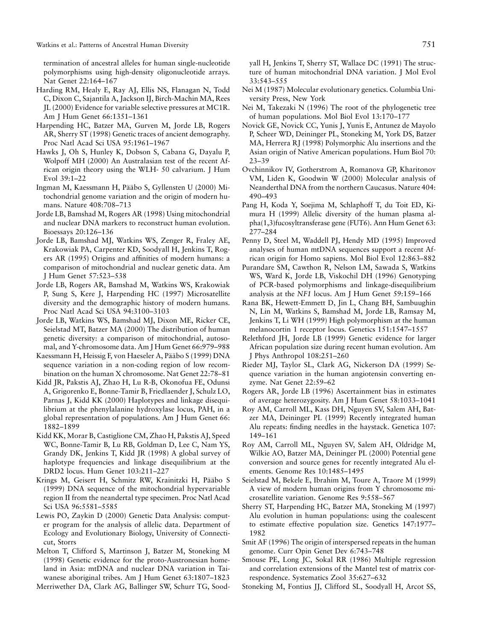termination of ancestral alleles for human single-nucleotide polymorphisms using high-density oligonucleotide arrays. Nat Genet 22:164–167

- Harding RM, Healy E, Ray AJ, Ellis NS, Flanagan N, Todd C, Dixon C, Sajantila A, Jackson IJ, Birch-Machin MA, Rees JL (2000) Evidence for variable selective pressures at MC1R. Am J Hum Genet 66:1351–1361
- Harpending HC, Batzer MA, Gurven M, Jorde LB, Rogers AR, Sherry ST (1998) Genetic traces of ancient demography. Proc Natl Acad Sci USA 95:1961–1967
- Hawks J, Oh S, Hunley K, Dobson S, Cabana G, Dayalu P, Wolpoff MH (2000) An Australasian test of the recent African origin theory using the WLH- 50 calvarium. J Hum Evol 39:1–22
- Ingman M, Kaessmann H, Pääbo S, Gyllensten U (2000) Mitochondrial genome variation and the origin of modern humans. Nature 408:708–713
- Jorde LB, Bamshad M, Rogers AR (1998) Using mitochondrial and nuclear DNA markers to reconstruct human evolution. Bioessays 20:126–136
- Jorde LB, Bamshad MJ, Watkins WS, Zenger R, Fraley AE, Krakowiak PA, Carpenter KD, Soodyall H, Jenkins T, Rogers AR (1995) Origins and affinities of modern humans: a comparison of mitochondrial and nuclear genetic data. Am J Hum Genet 57:523–538
- Jorde LB, Rogers AR, Bamshad M, Watkins WS, Krakowiak P, Sung S, Kere J, Harpending HC (1997) Microsatellite diversity and the demographic history of modern humans. Proc Natl Acad Sci USA 94:3100–3103
- Jorde LB, Watkins WS, Bamshad MJ, Dixon ME, Ricker CE, Seielstad MT, Batzer MA (2000) The distribution of human genetic diversity: a comparison of mitochondrial, autosomal, and Y-chromosome data. Am J Hum Genet 66:979–988
- Kaessmann H, Heissig F, von Haeseler A, Pääbo S (1999) DNA sequence variation in a non-coding region of low recombination on the human X chromosome. Nat Genet 22:78–81
- Kidd JR, Pakstis AJ, Zhao H, Lu R-B, Okonofua FE, Odunsi A, Grigorenko E, Bonne-Tamir B, Friedlaender J, Schulz LO, Parnas J, Kidd KK (2000) Haplotypes and linkage disequilibrium at the phenylalanine hydroxylase locus, PAH, in a global representation of populations. Am J Hum Genet 66: 1882–1899
- Kidd KK, Morar B, Castiglione CM, Zhao H, Pakstis AJ, Speed WC, Bonne-Tamir B, Lu RB, Goldman D, Lee C, Nam YS, Grandy DK, Jenkins T, Kidd JR (1998) A global survey of haplotype frequencies and linkage disequilibrium at the DRD2 locus. Hum Genet 103:211–227
- Krings M, Geisert H, Schmitz RW, Krainitzki H, Pääbo S (1999) DNA sequence of the mitochondrial hypervariable region II from the neandertal type specimen. Proc Natl Acad Sci USA 96:5581–5585
- Lewis PO, Zaykin D (2000) Genetic Data Analysis: computer program for the analysis of allelic data. Department of Ecology and Evolutionary Biology, University of Connecticut, Storrs
- Melton T, Clifford S, Martinson J, Batzer M, Stoneking M (1998) Genetic evidence for the proto-Austronesian homeland in Asia: mtDNA and nuclear DNA variation in Taiwanese aboriginal tribes. Am J Hum Genet 63:1807–1823

Merriwether DA, Clark AG, Ballinger SW, Schurr TG, Sood-

yall H, Jenkins T, Sherry ST, Wallace DC (1991) The structure of human mitochondrial DNA variation. J Mol Evol 33:543–555

- Nei M (1987) Molecular evolutionary genetics. Columbia University Press, New York
- Nei M, Takezaki N (1996) The root of the phylogenetic tree of human populations. Mol Biol Evol 13:170–177
- Novick GE, Novick CC, Yunis J, Yunis E, Antunez de Mayolo P, Scheer WD, Deininger PL, Stoneking M, York DS, Batzer MA, Herrera RJ (1998) Polymorphic Alu insertions and the Asian origin of Native American populations. Hum Biol 70: 23–39
- Ovchinnikov IV, Gotherstrom A, Romanova GP, Kharitonov VM, Liden K, Goodwin W (2000) Molecular analysis of Neanderthal DNA from the northern Caucasus. Nature 404: 490–493
- Pang H, Koda Y, Soejima M, Schlaphoff T, du Toit ED, Kimura H (1999) Allelic diversity of the human plasma alpha(1,3)fucosyltransferase gene (FUT6). Ann Hum Genet 63: 277–284
- Penny D, Steel M, Waddell PJ, Hendy MD (1995) Improved analyses of human mtDNA sequences support a recent African origin for Homo sapiens. Mol Biol Evol 12:863–882
- Purandare SM, Cawthon R, Nelson LM, Sawada S, Watkins WS, Ward K, Jorde LB, Viskochil DH (1996) Genotyping of PCR-based polymorphisms and linkage-disequilibrium analysis at the *NF1* locus. Am J Hum Genet 59:159–166
- Rana BK, Hewett-Emmett D, Jin L, Chang BH, Sambuughin N, Lin M, Watkins S, Bamshad M, Jorde LB, Ramsay M, Jenkins T, Li WH (1999) High polymorphism at the human melanocortin 1 receptor locus. Genetics 151:1547–1557
- Relethford JH, Jorde LB (1999) Genetic evidence for larger African population size during recent human evolution. Am J Phys Anthropol 108:251–260
- Rieder MJ, Taylor SL, Clark AG, Nickerson DA (1999) Sequence variation in the human angiotensin converting enzyme. Nat Genet 22:59–62
- Rogers AR, Jorde LB (1996) Ascertainment bias in estimates of average heterozygosity. Am J Hum Genet 58:1033–1041
- Roy AM, Carroll ML, Kass DH, Nguyen SV, Salem AH, Batzer MA, Deininger PL (1999) Recently integrated human Alu repeats: finding needles in the haystack. Genetica 107: 149–161
- Roy AM, Carroll ML, Nguyen SV, Salem AH, Oldridge M, Wilkie AO, Batzer MA, Deininger PL (2000) Potential gene conversion and source genes for recently integrated Alu elements. Genome Res 10:1485–1495
- Seielstad M, Bekele E, Ibrahim M, Toure A, Traore M (1999) A view of modern human origins from Y chromosome microsatellite variation. Genome Res 9:558–567
- Sherry ST, Harpending HC, Batzer MA, Stoneking M (1997) Alu evolution in human populations: using the coalescent to estimate effective population size. Genetics 147:1977– 1982
- Smit AF (1996) The origin of interspersed repeats in the human genome. Curr Opin Genet Dev 6:743–748
- Smouse PE, Long JC, Sokal RR (1986) Multiple regression and correlation extensions of the Mantel test of matrix correspondence. Systematics Zool 35:627–632
- Stoneking M, Fontius JJ, Clifford SL, Soodyall H, Arcot SS,